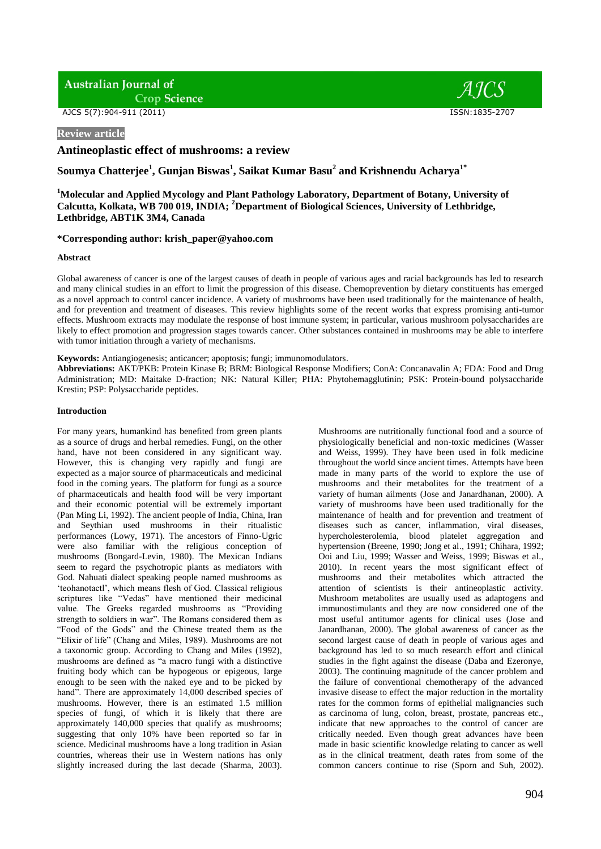**Australian Journal of Crop Science** 

AJCS 5(7):904-911 (2011) ISSN:1835-2707

**Review article**

**Antineoplastic effect of mushrooms: a review**

**Soumya Chatterjee<sup>1</sup> , Gunjan Biswas<sup>1</sup> , Saikat Kumar Basu<sup>2</sup> and Krishnendu Acharya1\***

**<sup>1</sup>Molecular and Applied Mycology and Plant Pathology Laboratory, Department of Botany, University of Calcutta, Kolkata, WB 700 019, INDIA; <sup>2</sup>Department of Biological Sciences, University of Lethbridge, Lethbridge, ABT1K 3M4, Canada**

## **\*Corresponding author: krish\_paper@yahoo.com**

### **Abstract**

Global awareness of cancer is one of the largest causes of death in people of various ages and racial backgrounds has led to research and many clinical studies in an effort to limit the progression of this disease. Chemoprevention by dietary constituents has emerged as a novel approach to control cancer incidence. A variety of mushrooms have been used traditionally for the maintenance of health, and for prevention and treatment of diseases. This review highlights some of the recent works that express promising anti-tumor effects. Mushroom extracts may modulate the response of host immune system; in particular, various mushroom polysaccharides are likely to effect promotion and progression stages towards cancer. Other substances contained in mushrooms may be able to interfere with tumor initiation through a variety of mechanisms.

**Keywords:** Antiangiogenesis; anticancer; apoptosis; fungi; immunomodulators.

**Abbreviations:** AKT/PKB: Protein Kinase B; BRM: Biological Response Modifiers; ConA: Concanavalin A; FDA: Food and Drug Administration; MD: Maitake D-fraction; NK: Natural Killer; PHA: Phytohemagglutinin; PSK: Protein-bound polysaccharide Krestin; PSP: Polysaccharide peptides.

### **Introduction**

For many years, humankind has benefited from green plants as a source of drugs and herbal remedies. Fungi, on the other hand, have not been considered in any significant way. However, this is changing very rapidly and fungi are expected as a major source of pharmaceuticals and medicinal food in the coming years. The platform for fungi as a source of pharmaceuticals and health food will be very important and their economic potential will be extremely important (Pan Ming Li, 1992). The ancient people of India, China, Iran and Seythian used mushrooms in their ritualistic performances (Lowy, 1971). The ancestors of Finno-Ugric were also familiar with the religious conception of mushrooms (Bongard-Levin, 1980). The Mexican Indians seem to regard the psychotropic plants as mediators with God. Nahuati dialect speaking people named mushrooms as ‗teohanotactl', which means flesh of God. Classical religious scriptures like "Vedas" have mentioned their medicinal value. The Greeks regarded mushrooms as "Providing strength to soldiers in war". The Romans considered them as "Food of the Gods" and the Chinese treated them as the "Elixir of life" (Chang and Miles, 1989). Mushrooms are not a taxonomic group. According to Chang and Miles (1992), mushrooms are defined as "a macro fungi with a distinctive fruiting body which can be hypogeous or epigeous, large enough to be seen with the naked eye and to be picked by hand". There are approximately 14,000 described species of mushrooms. However, there is an estimated 1.5 million species of fungi, of which it is likely that there are approximately 140,000 species that qualify as mushrooms; suggesting that only 10% have been reported so far in science. Medicinal mushrooms have a long tradition in Asian countries, whereas their use in Western nations has only slightly increased during the last decade (Sharma, 2003).

Mushrooms are nutritionally functional food and a source of physiologically beneficial and non-toxic medicines (Wasser and Weiss, 1999). They have been used in folk medicine throughout the world since ancient times. Attempts have been made in many parts of the world to explore the use of mushrooms and their metabolites for the treatment of a variety of human ailments (Jose and Janardhanan, 2000). A variety of mushrooms have been used traditionally for the maintenance of health and for prevention and treatment of diseases such as cancer, inflammation, viral diseases, hypercholesterolemia, blood platelet aggregation and hypertension (Breene, 1990; Jong et al., 1991; Chihara, 1992; Ooi and Liu, 1999; Wasser and Weiss, 1999; Biswas et al., 2010). In recent years the most significant effect of mushrooms and their metabolites which attracted the attention of scientists is their antineoplastic activity. Mushroom metabolites are usually used as adaptogens and immunostimulants and they are now considered one of the most useful antitumor agents for clinical uses (Jose and Janardhanan, 2000). The global awareness of cancer as the second largest cause of death in people of various ages and background has led to so much research effort and clinical studies in the fight against the disease (Daba and Ezeronye, 2003). The continuing magnitude of the cancer problem and the failure of conventional chemotherapy of the advanced invasive disease to effect the major reduction in the mortality rates for the common forms of epithelial malignancies such as carcinoma of lung, colon, breast, prostate, pancreas etc., indicate that new approaches to the control of cancer are critically needed. Even though great advances have been made in basic scientific knowledge relating to cancer as well as in the clinical treatment, death rates from some of the common cancers continue to rise (Sporn and Suh, 2002).

 $\overline{A}$  ICS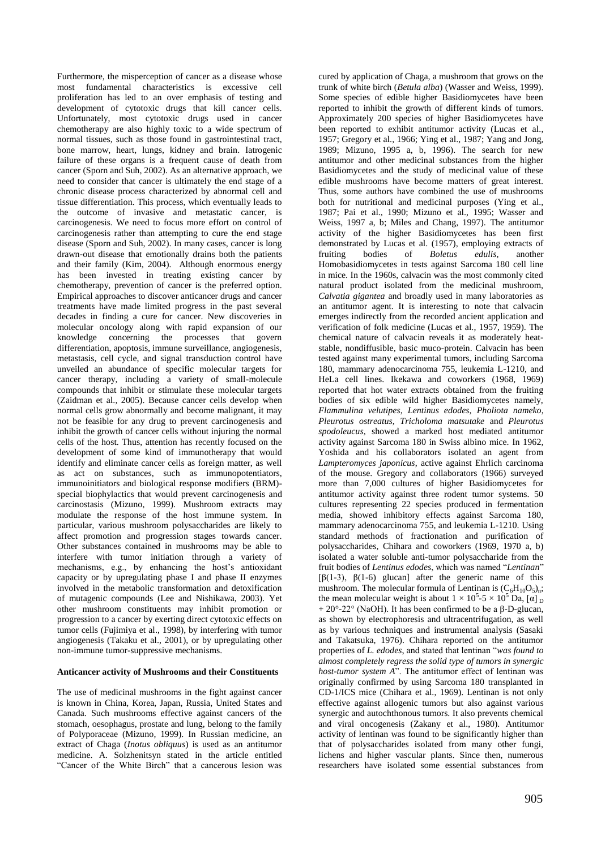Furthermore, the misperception of cancer as a disease whose most fundamental characteristics is excessive cell proliferation has led to an over emphasis of testing and development of cytotoxic drugs that kill cancer cells. Unfortunately, most cytotoxic drugs used in cancer chemotherapy are also highly toxic to a wide spectrum of normal tissues, such as those found in gastrointestinal tract, bone marrow, heart, lungs, kidney and brain. Iatrogenic failure of these organs is a frequent cause of death from cancer (Sporn and Suh, 2002). As an alternative approach, we need to consider that cancer is ultimately the end stage of a chronic disease process characterized by abnormal cell and tissue differentiation. This process, which eventually leads to the outcome of invasive and metastatic cancer, is carcinogenesis. We need to focus more effort on control of carcinogenesis rather than attempting to cure the end stage disease (Sporn and Suh, 2002). In many cases, cancer is long drawn-out disease that emotionally drains both the patients and their family (Kim, 2004). Although enormous energy has been invested in treating existing cancer by chemotherapy, prevention of cancer is the preferred option. Empirical approaches to discover anticancer drugs and cancer treatments have made limited progress in the past several decades in finding a cure for cancer. New discoveries in molecular oncology along with rapid expansion of our knowledge concerning the processes that govern differentiation, apoptosis, immune surveillance, angiogenesis, metastasis, cell cycle, and signal transduction control have unveiled an abundance of specific molecular targets for cancer therapy, including a variety of small-molecule compounds that inhibit or stimulate these molecular targets (Zaidman et al., 2005). Because cancer cells develop when normal cells grow abnormally and become malignant, it may not be feasible for any drug to prevent carcinogenesis and inhibit the growth of cancer cells without injuring the normal cells of the host. Thus, attention has recently focused on the development of some kind of immunotherapy that would identify and eliminate cancer cells as foreign matter, as well as act on substances, such as immunopotentiators, immunoinitiators and biological response modifiers (BRM) special biophylactics that would prevent carcinogenesis and carcinostasis (Mizuno, 1999). Mushroom extracts may modulate the response of the host immune system. In particular, various mushroom polysaccharides are likely to affect promotion and progression stages towards cancer. Other substances contained in mushrooms may be able to interfere with tumor initiation through a variety of mechanisms, e.g., by enhancing the host's antioxidant capacity or by upregulating phase I and phase II enzymes involved in the metabolic transformation and detoxification of mutagenic compounds (Lee and Nishikawa, 2003). Yet other mushroom constituents may inhibit promotion or progression to a cancer by exerting direct cytotoxic effects on tumor cells (Fujimiya et al., 1998), by interfering with tumor angiogenesis (Takaku et al., 2001), or by upregulating other non-immune tumor-suppressive mechanisms.

### **Anticancer activity of Mushrooms and their Constituents**

The use of medicinal mushrooms in the fight against cancer is known in China, Korea, Japan, Russia, United States and Canada. Such mushrooms effective against cancers of the stomach, oesophagus, prostate and lung, belong to the family of Polyporaceae (Mizuno, 1999). In Russian medicine, an extract of Chaga (*Inotus obliquus*) is used as an antitumor medicine. A. Solzhenitsyn stated in the article entitled "Cancer of the White Birch" that a cancerous lesion was

cured by application of Chaga, a mushroom that grows on the trunk of white birch (*Betula alba*) (Wasser and Weiss, 1999). Some species of edible higher Basidiomycetes have been reported to inhibit the growth of different kinds of tumors. Approximately 200 species of higher Basidiomycetes have been reported to exhibit antitumor activity (Lucas et al., 1957; Gregory et al., 1966; Ying et al., 1987; Yang and Jong, 1989; Mizuno, 1995 a, b, 1996). The search for new antitumor and other medicinal substances from the higher Basidiomycetes and the study of medicinal value of these edible mushrooms have become matters of great interest. Thus, some authors have combined the use of mushrooms both for nutritional and medicinal purposes (Ying et al., 1987; Pai et al., 1990; Mizuno et al., 1995; Wasser and Weiss, 1997 a, b; Miles and Chang, 1997). The antitumor activity of the higher Basidiomycetes has been first demonstrated by Lucas et al. (1957), employing extracts of fruiting bodies of *Boletus edulis*, another Homobasidiomycetes in tests against Sarcoma 180 cell line in mice. In the 1960s, calvacin was the most commonly cited natural product isolated from the medicinal mushroom, *Calvatia gigantea* and broadly used in many laboratories as an antitumor agent. It is interesting to note that calvacin emerges indirectly from the recorded ancient application and verification of folk medicine (Lucas et al., 1957, 1959). The chemical nature of calvacin reveals it as moderately heatstable, nondiffusible, basic muco-protein. Calvacin has been tested against many experimental tumors, including Sarcoma 180, mammary adenocarcinoma 755, leukemia L-1210, and HeLa cell lines. Ikekawa and coworkers (1968, 1969) reported that hot water extracts obtained from the fruiting bodies of six edible wild higher Basidiomycetes namely, *Flammulina velutipes*, *Lentinus edodes*, *Pholiota nameko*, *Pleurotus ostreatus*, *Tricholoma matsutake* and *Pleurotus spodoleucus*, showed a marked host mediated antitumor activity against Sarcoma 180 in Swiss albino mice. In 1962, Yoshida and his collaborators isolated an agent from *Lampteromyces japonicus*, active against Ehrlich carcinoma of the mouse. Gregory and collaborators (1966) surveyed more than 7,000 cultures of higher Basidiomycetes for antitumor activity against three rodent tumor systems. 50 cultures representing 22 species produced in fermentation media, showed inhibitory effects against Sarcoma 180, mammary adenocarcinoma 755, and leukemia L-1210. Using standard methods of fractionation and purification of polysaccharides, Chihara and coworkers (1969, 1970 a, b) isolated a water soluble anti-tumor polysaccharide from the fruit bodies of *Lentinus edodes*, which was named "*Lentinan*" [ $\beta$ (1-3),  $\beta$ (1-6) glucan] after the generic name of this mushroom. The molecular formula of Lentinan is  $(C_6H_{10}O_5)_n$ ; the mean molecular weight is about  $1 \times 10^5$ -5  $\times 10^5$  Da, [ $\alpha$ ]  $\beta$  $+ 20^{\circ}$ -22° (NaOH). It has been confirmed to be a β-D-glucan, as shown by electrophoresis and ultracentrifugation, as well as by various techniques and instrumental analysis (Sasaki and Takatsuka, 1976). Chihara reported on the antitumor properties of *L. edodes*, and stated that lentinan "was found to *almost completely regress the solid type of tumors in synergic host-tumor system A*<sup>"</sup>. The antitumor effect of lentinan was originally confirmed by using Sarcoma 180 transplanted in CD-1/ICS mice (Chihara et al., 1969). Lentinan is not only effective against allogenic tumors but also against various synergic and autochthonous tumors. It also prevents chemical and viral oncogenesis (Zakany et al., 1980). Antitumor activity of lentinan was found to be significantly higher than that of polysaccharides isolated from many other fungi, lichens and higher vascular plants. Since then, numerous researchers have isolated some essential substances from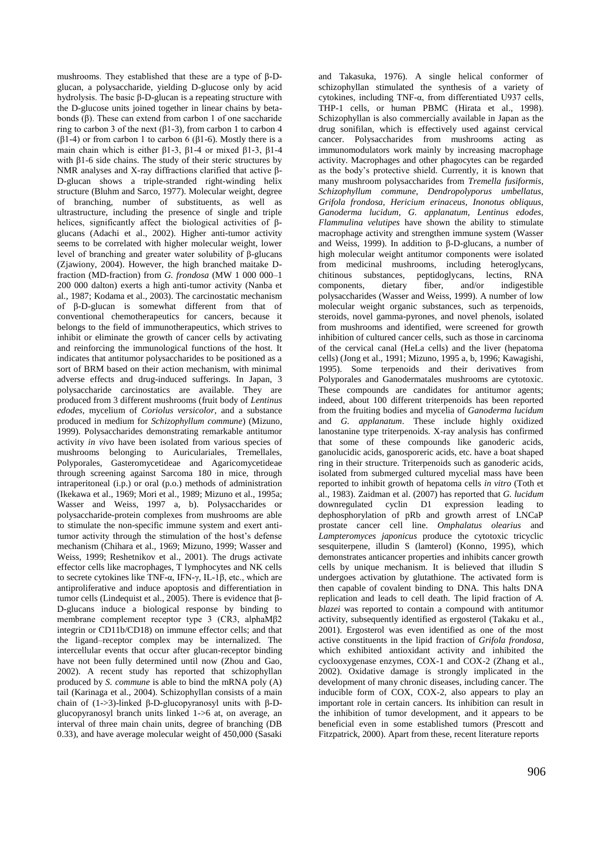mushrooms. They established that these are a type of β-Dglucan, a polysaccharide, yielding D-glucose only by acid hydrolysis. The basic β-D-glucan is a repeating structure with the D-glucose units joined together in linear chains by betabonds (β). These can extend from carbon 1 of one saccharide ring to carbon 3 of the next (β1-3), from carbon 1 to carbon 4 ( $\beta$ 1-4) or from carbon 1 to carbon 6 ( $\beta$ 1-6). Mostly there is a main chain which is either β1-3, β1-4 or mixed β1-3, β1-4 with β1-6 side chains. The study of their steric structures by NMR analyses and X-ray diffractions clarified that active β-D-glucan shows a triple-stranded right-winding helix structure (Bluhm and Sarco, 1977). Molecular weight, degree of branching, number of substituents, as well as ultrastructure, including the presence of single and triple helices, significantly affect the biological activities of βglucans (Adachi et al., 2002). Higher anti-tumor activity seems to be correlated with higher molecular weight, lower level of branching and greater water solubility of β-glucans (Zjawiony, 2004). However, the high branched maitake Dfraction (MD-fraction) from *G. frondosa* (MW 1 000 000–1 200 000 dalton) exerts a high anti-tumor activity (Nanba et al., 1987; Kodama et al., 2003). The carcinostatic mechanism of β-D-glucan is somewhat different from that of conventional chemotherapeutics for cancers, because it belongs to the field of immunotherapeutics, which strives to inhibit or eliminate the growth of cancer cells by activating and reinforcing the immunological functions of the host. It indicates that antitumor polysaccharides to be positioned as a sort of BRM based on their action mechanism, with minimal adverse effects and drug-induced sufferings. In Japan, 3 polysaccharide carcinostatics are available. They are produced from 3 different mushrooms (fruit body of *Lentinus edodes*, mycelium of *Coriolus versicolor*, and a substance produced in medium for *Schizophyllum commune*) (Mizuno, 1999). Polysaccharides demonstrating remarkable antitumor activity *in vivo* have been isolated from various species of mushrooms belonging to Auriculariales, Tremellales, Polyporales, Gasteromycetideae and Agaricomycetideae through screening against Sarcoma 180 in mice, through intraperitoneal (i.p.) or oral (p.o.) methods of administration (Ikekawa et al., 1969; Mori et al., 1989; Mizuno et al., 1995a; Wasser and Weiss, 1997 a, b). Polysaccharides or polysaccharide-protein complexes from mushrooms are able to stimulate the non-specific immune system and exert antitumor activity through the stimulation of the host's defense mechanism (Chihara et al., 1969; Mizuno, 1999; Wasser and Weiss, 1999; Reshetnikov et al., 2001). The drugs activate effector cells like macrophages, T lymphocytes and NK cells to secrete cytokines like TNF-α, IFN-γ, IL-1β, etc., which are antiproliferative and induce apoptosis and differentiation in tumor cells (Lindequist et al., 2005). There is evidence that β-D-glucans induce a biological response by binding to membrane complement receptor type 3 (CR3, alphaMβ2 integrin or CD11b/CD18) on immune effector cells; and that the ligand–receptor complex may be internalized. The intercellular events that occur after glucan-receptor binding have not been fully determined until now (Zhou and Gao, 2002). A recent study has reported that schizophyllan produced by *S. commune* is able to bind the mRNA poly (A) tail (Karinaga et al., 2004). Schizophyllan consists of a main chain of (1->3)-linked β-D-glucopyranosyl units with β-Dglucopyranosyl branch units linked 1->6 at, on average, an interval of three main chain units, degree of branching (DB 0.33), and have average molecular weight of 450,000 (Sasaki

and Takasuka, 1976). A single helical conformer of schizophyllan stimulated the synthesis of a variety of cytokines, including TNF-α, from differentiated U937 cells, THP-1 cells, or human PBMC (Hirata et al., 1998). Schizophyllan is also commercially available in Japan as the drug sonifilan, which is effectively used against cervical cancer. Polysaccharides from mushrooms acting as immunomodulators work mainly by increasing macrophage activity. Macrophages and other phagocytes can be regarded as the body's protective shield. Currently, it is known that many mushroom polysaccharides from *Tremella fusiformis, Schizophyllum commune, Dendropolyporus umbellatus, Grifola frondosa, Hericium erinaceus, Inonotus obliquus, Ganoderma lucidum, G. applanatum, Lentinus edodes, Flammulina velutipes* have shown the ability to stimulate macrophage activity and strengthen immune system (Wasser and Weiss, 1999). In addition to β-D-glucans, a number of high molecular weight antitumor components were isolated from medicinal mushrooms, including heteroglycans, chitinous substances, peptidoglycans, lectins, RNA components, dietary fiber, and/or indigestible polysaccharides (Wasser and Weiss, 1999). A number of low molecular weight organic substances, such as terpenoids, steroids, novel gamma-pyrones, and novel phenols, isolated from mushrooms and identified, were screened for growth inhibition of cultured cancer cells, such as those in carcinoma of the cervical canal (HeLa cells) and the liver (hepatoma cells) (Jong et al., 1991; Mizuno, 1995 a, b, 1996; Kawagishi, 1995). Some terpenoids and their derivatives from Polyporales and Ganodermatales mushrooms are cytotoxic. These compounds are candidates for antitumor agents; indeed, about 100 different triterpenoids has been reported from the fruiting bodies and mycelia of *Ganoderma lucidum* and *G. applanatum*. These include highly oxidized lanostanine type triterpenoids. X-ray analysis has confirmed that some of these compounds like ganoderic acids, ganolucidic acids, ganosporeric acids, etc. have a boat shaped ring in their structure. Triterpenoids such as ganoderic acids, isolated from submerged cultured mycelial mass have been reported to inhibit growth of hepatoma cells *in vitro* (Toth et al., 1983). Zaidman et al. (2007) has reported that *G. lucidum*  downregulated cyclin D1 expression leading to dephosphorylation of pRb and growth arrest of LNCaP prostate cancer cell line. *Omphalatus olearius* and *Lampteromyces japonicus* produce the cytotoxic tricyclic sesquiterpene, illudin S (lamterol) (Konno, 1995), which demonstrates anticancer properties and inhibits cancer growth cells by unique mechanism. It is believed that illudin S undergoes activation by glutathione. The activated form is then capable of covalent binding to DNA. This halts DNA replication and leads to cell death. The lipid fraction of *A. blazei* was reported to contain a compound with antitumor activity, subsequently identified as ergosterol (Takaku et al., 2001). Ergosterol was even identified as one of the most active constituents in the lipid fraction of *Grifola frondosa*, which exhibited antioxidant activity and inhibited the cyclooxygenase enzymes, COX-1 and COX-2 (Zhang et al., 2002). Oxidative damage is strongly implicated in the development of many chronic diseases, including cancer. The inducible form of COX, COX-2, also appears to play an important role in certain cancers. Its inhibition can result in the inhibition of tumor development, and it appears to be beneficial even in some established tumors (Prescott and Fitzpatrick, 2000). Apart from these, recent literature reports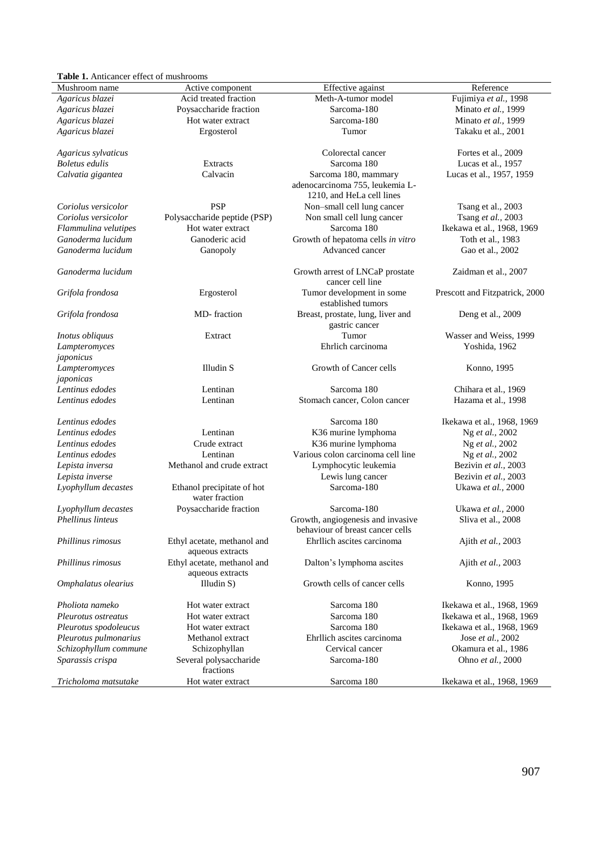# **Table 1.** Anticancer effect of mushrooms

| <b>Table 1.</b> Anticancer effect of mushrooms |                                                 |                                                              |                                |
|------------------------------------------------|-------------------------------------------------|--------------------------------------------------------------|--------------------------------|
| Mushroom name                                  | Active component                                | Effective against                                            | Reference                      |
| Agaricus blazei                                | Acid treated fraction                           | Meth-A-tumor model                                           | Fujimiya et al., 1998          |
| Agaricus blazei                                | Poysaccharide fraction                          | Sarcoma-180                                                  | Minato et al., 1999            |
| Agaricus blazei                                | Hot water extract                               | Sarcoma-180                                                  | Minato et al., 1999            |
| Agaricus blazei                                | Ergosterol                                      | Tumor                                                        | Takaku et al., 2001            |
|                                                |                                                 |                                                              |                                |
| Agaricus sylvaticus                            |                                                 | Colorectal cancer                                            | Fortes et al., 2009            |
| <b>Boletus edulis</b>                          | Extracts                                        | Sarcoma 180                                                  | Lucas et al., 1957             |
| Calvatia gigantea                              | Calvacin                                        | Sarcoma 180, mammary                                         | Lucas et al., 1957, 1959       |
|                                                |                                                 | adenocarcinoma 755, leukemia L-<br>1210, and HeLa cell lines |                                |
| Coriolus versicolor                            | <b>PSP</b>                                      | Non-small cell lung cancer                                   | Tsang et al., 2003             |
| Coriolus versicolor                            | Polysaccharide peptide (PSP)                    | Non small cell lung cancer                                   | Tsang et al., 2003             |
| Flammulina velutipes                           | Hot water extract                               | Sarcoma 180                                                  | Ikekawa et al., 1968, 1969     |
| Ganoderma lucidum                              | Ganoderic acid                                  | Growth of hepatoma cells in vitro                            | Toth et al., 1983              |
| Ganoderma lucidum                              | Ganopoly                                        | Advanced cancer                                              | Gao et al., 2002               |
| Ganoderma lucidum                              |                                                 | Growth arrest of LNCaP prostate<br>cancer cell line          | Zaidman et al., 2007           |
| Grifola frondosa                               | Ergosterol                                      | Tumor development in some<br>established tumors              | Prescott and Fitzpatrick, 2000 |
| Grifola frondosa                               | MD-fraction                                     | Breast, prostate, lung, liver and<br>gastric cancer          | Deng et al., 2009              |
| Inotus obliquus                                | Extract                                         | Tumor                                                        | Wasser and Weiss, 1999         |
| Lampteromyces                                  |                                                 | Ehrlich carcinoma                                            | Yoshida, 1962                  |
| japonicus                                      |                                                 |                                                              |                                |
| Lampteromyces                                  | Illudin S                                       | Growth of Cancer cells                                       | Konno, 1995                    |
| japonicas                                      |                                                 |                                                              |                                |
| Lentinus edodes                                | Lentinan                                        | Sarcoma 180                                                  | Chihara et al., 1969           |
| Lentinus edodes                                | Lentinan                                        | Stomach cancer, Colon cancer                                 | Hazama et al., 1998            |
| Lentinus edodes                                |                                                 | Sarcoma 180                                                  | Ikekawa et al., 1968, 1969     |
| Lentinus edodes                                | Lentinan                                        | K36 murine lymphoma                                          | Ng et al., 2002                |
| Lentinus edodes                                | Crude extract                                   | K36 murine lymphoma                                          | Ng et al., 2002                |
| Lentinus edodes                                | Lentinan                                        | Various colon carcinoma cell line                            | Ng et al., 2002                |
| Lepista inversa                                | Methanol and crude extract                      | Lymphocytic leukemia                                         | Bezivin et al., 2003           |
| Lepista inverse                                |                                                 | Lewis lung cancer                                            | Bezivin et al., 2003           |
| Lyophyllum decastes                            | Ethanol precipitate of hot                      | Sarcoma-180                                                  | Ukawa et al., 2000             |
|                                                | water fraction                                  |                                                              |                                |
| Lyophyllum decastes                            | Poysaccharide fraction                          | Sarcoma-180                                                  | Ukawa et al., 2000             |
| <b>Phellinus linteus</b>                       |                                                 | Growth, angiogenesis and invasive                            | Sliva et al., 2008             |
|                                                |                                                 | behaviour of breast cancer cells                             |                                |
| Phillinus rimosus                              | Ethyl acetate, methanol and<br>aqueous extracts | Ehrllich ascites carcinoma                                   | Ajith et al., 2003             |
| Phillinus rimosus                              | Ethyl acetate, methanol and<br>aqueous extracts | Dalton's lymphoma ascites                                    | Ajith et al., 2003             |
| Omphalatus olearius                            | Illudin S)                                      | Growth cells of cancer cells                                 | Konno, 1995                    |
| Pholiota nameko                                | Hot water extract                               | Sarcoma 180                                                  | Ikekawa et al., 1968, 1969     |
| Pleurotus ostreatus                            | Hot water extract                               | Sarcoma 180                                                  | Ikekawa et al., 1968, 1969     |
| Pleurotus spodoleucus                          | Hot water extract                               | Sarcoma 180                                                  | Ikekawa et al., 1968, 1969     |
| Pleurotus pulmonarius                          | Methanol extract                                | Ehrllich ascites carcinoma                                   | Jose et al., 2002              |
| Schizophyllum commune                          | Schizophyllan                                   | Cervical cancer                                              | Okamura et al., 1986           |
| Sparassis crispa                               | Several polysaccharide<br>fractions             | Sarcoma-180                                                  | Ohno et al., 2000              |
| Tricholoma matsutake                           | Hot water extract                               | Sarcoma 180                                                  | Ikekawa et al., 1968, 1969     |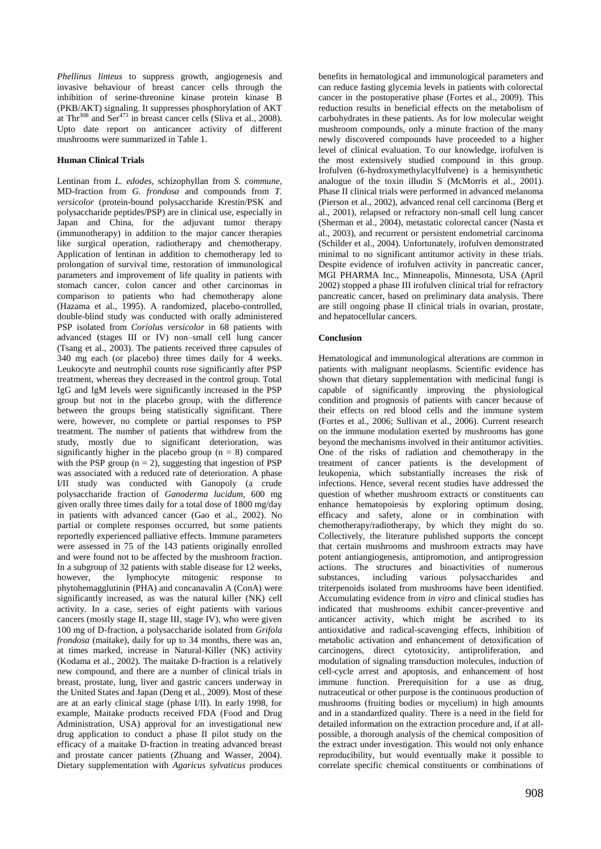*Phellinus linteus* to suppress growth, angiogenesis and invasive behaviour of breast cancer cells through the inhibition of serine-threonine kinase protein kinase B (PKB/AKT) signaling. It suppresses phosphorylation of AKT at Thr<sup>308</sup> and Ser<sup>473</sup> in breast cancer cells (Sliva et al., 2008). Upto date report on anticancer activity of different mushrooms were summarized in Table 1.

## **Human Clinical Trials**

Lentinan from *L. edodes*, schizophyllan from *S. commune*, MD-fraction from *G. frondosa* and compounds from *T. versicolor* (protein-bound polysaccharide Krestin/PSK and polysaccharide peptides/PSP) are in clinical use, especially in Japan and China, for the adjuvant tumor therapy (immunotherapy) in addition to the major cancer therapies like surgical operation, radiotherapy and chemotherapy. Application of lentinan in addition to chemotherapy led to prolongation of survival time, restoration of immunological parameters and improvement of life quality in patients with stomach cancer, colon cancer and other carcinomas in comparison to patients who had chemotherapy alone (Hazama et al., 1995). A randomized, placebo-controlled, double-blind study was conducted with orally administered PSP isolated from *Coriolus versicolor* in 68 patients with advanced (stages III or IV) non–small cell lung cancer (Tsang et al., 2003). The patients received three capsules of 340 mg each (or placebo) three times daily for 4 weeks. Leukocyte and neutrophil counts rose significantly after PSP treatment, whereas they decreased in the control group. Total IgG and IgM levels were significantly increased in the PSP group but not in the placebo group, with the difference between the groups being statistically significant. There were, however, no complete or partial responses to PSP treatment. The number of patients that withdrew from the study, mostly due to significant deterioration, was significantly higher in the placebo group  $(n = 8)$  compared with the PSP group  $(n = 2)$ , suggesting that ingestion of PSP was associated with a reduced rate of deterioration. A phase I/II study was conducted with Ganopoly (a crude polysaccharide fraction of *Ganoderma lucidum*, 600 mg given orally three times daily for a total dose of 1800 mg/day in patients with advanced cancer (Gao et al., 2002). No partial or complete responses occurred, but some patients reportedly experienced palliative effects. Immune parameters were assessed in 75 of the 143 patients originally enrolled and were found not to be affected by the mushroom fraction. In a subgroup of 32 patients with stable disease for 12 weeks,<br>however, the lymphocyte mitogenic response to lymphocyte mitogenic response to phytohemagglutinin (PHA) and concanavalin A (ConA) were significantly increased, as was the natural killer (NK) cell activity. In a case, series of eight patients with various cancers (mostly stage II, stage III, stage IV), who were given 100 mg of D-fraction, a polysaccharide isolated from *Grifola frondosa* (maitake), daily for up to 34 months, there was an, at times marked, increase in Natural-Killer (NK) activity (Kodama et al., 2002). The maitake D-fraction is a relatively new compound, and there are a number of clinical trials in breast, prostate, lung, liver and gastric cancers underway in the United States and Japan (Deng et al., 2009). Most of these are at an early clinical stage (phase I/II). In early 1998, for example, Maitake products received FDA (Food and Drug Administration, USA) approval for an investigational new drug application to conduct a phase II pilot study on the efficacy of a maitake D-fraction in treating advanced breast and prostate cancer patients (Zhuang and Wasser, 2004). Dietary supplementation with *Agaricus sylvaticus* produces

benefits in hematological and immunological parameters and can reduce fasting glycemia levels in patients with colorectal cancer in the postoperative phase (Fortes et al., 2009). This reduction results in beneficial effects on the metabolism of carbohydrates in these patients. As for low molecular weight mushroom compounds, only a minute fraction of the many newly discovered compounds have proceeded to a higher level of clinical evaluation. To our knowledge, irofulven is the most extensively studied compound in this group. Irofulven (6-hydroxymethylacylfulvene) is a hemisynthetic analogue of the toxin illudin S (McMorris et al., 2001). Phase II clinical trials were performed in advanced melanoma (Pierson et al., 2002), advanced renal cell carcinoma (Berg et al., 2001), relapsed or refractory non-small cell lung cancer (Sherman et al., 2004), metastatic colorectal cancer (Nasta et al., 2003), and recurrent or persistent endometrial carcinoma (Schilder et al., 2004). Unfortunately, irofulven demonstrated minimal to no significant antitumor activity in these trials. Despite evidence of irofulven activity in pancreatic cancer, MGI PHARMA Inc., Minneapolis, Minnesota, USA (April 2002) stopped a phase III irofulven clinical trial for refractory pancreatic cancer, based on preliminary data analysis. There are still ongoing phase II clinical trials in ovarian, prostate, and hepatocellular cancers.

## **Conclusion**

Hematological and immunological alterations are common in patients with malignant neoplasms. Scientific evidence has shown that dietary supplementation with medicinal fungi is capable of significantly improving the physiological condition and prognosis of patients with cancer because of their effects on red blood cells and the immune system (Fortes et al., 2006; Sullivan et al., 2006). Current research on the immune modulation exerted by mushrooms has gone beyond the mechanisms involved in their antitumor activities. One of the risks of radiation and chemotherapy in the treatment of cancer patients is the development of leukopenia, which substantially increases the risk of infections. Hence, several recent studies have addressed the question of whether mushroom extracts or constituents can enhance hematopoiesis by exploring optimum dosing, efficacy and safety, alone or in combination with chemotherapy/radiotherapy, by which they might do so. Collectively, the literature published supports the concept that certain mushrooms and mushroom extracts may have potent antiangiogenesis, antipromotion, and antiprogression actions. The structures and bioactivities of numerous<br>substances, including various polysaccharides and substances, including various polysaccharides triterpenoids isolated from mushrooms have been identified. Accumulating evidence from *in vitro* and clinical studies has indicated that mushrooms exhibit cancer-preventive and anticancer activity, which might be ascribed to its antioxidative and radical-scavenging effects, inhibition of metabolic activation and enhancement of detoxification of carcinogens, direct cytotoxicity, antiproliferation, and modulation of signaling transduction molecules, induction of cell-cycle arrest and apoptosis, and enhancement of host immune function. Prerequisition for a use as drug, nutraceutical or other purpose is the continuous production of mushrooms (fruiting bodies or mycelium) in high amounts and in a standardized quality. There is a need in the field for detailed information on the extraction procedure and, if at allpossible, a thorough analysis of the chemical composition of the extract under investigation. This would not only enhance reproducibility, but would eventually make it possible to correlate specific chemical constituents or combinations of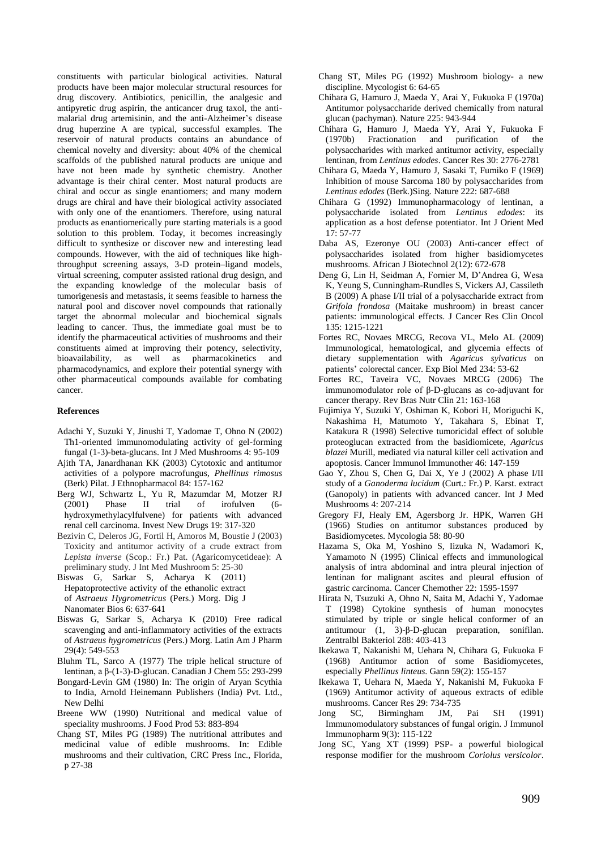constituents with particular biological activities. Natural products have been major molecular structural resources for drug discovery. Antibiotics, penicillin, the analgesic and antipyretic drug aspirin, the anticancer drug taxol, the antimalarial drug artemisinin, and the anti-Alzheimer's disease drug huperzine A are typical, successful examples. The reservoir of natural products contains an abundance of chemical novelty and diversity: about 40% of the chemical scaffolds of the published natural products are unique and have not been made by synthetic chemistry. Another advantage is their chiral center. Most natural products are chiral and occur as single enantiomers; and many modern drugs are chiral and have their biological activity associated with only one of the enantiomers. Therefore, using natural products as enantiomerically pure starting materials is a good solution to this problem. Today, it becomes increasingly difficult to synthesize or discover new and interesting lead compounds. However, with the aid of techniques like highthroughput screening assays, 3-D protein–ligand models, virtual screening, computer assisted rational drug design, and the expanding knowledge of the molecular basis of tumorigenesis and metastasis, it seems feasible to harness the natural pool and discover novel compounds that rationally target the abnormal molecular and biochemical signals leading to cancer. Thus, the immediate goal must be to identify the pharmaceutical activities of mushrooms and their constituents aimed at improving their potency, selectivity, bioavailability, as well as pharmacokinetics and pharmacodynamics, and explore their potential synergy with other pharmaceutical compounds available for combating cancer.

#### **References**

- Adachi Y, Suzuki Y, Jinushi T, Yadomae T, Ohno N (2002) Th1-oriented immunomodulating activity of gel-forming fungal (1-3)-beta-glucans. Int J Med Mushrooms 4: 95-109
- Ajith TA, Janardhanan KK (2003) Cytotoxic and antitumor activities of a polypore macrofungus, *Phellinus rimosus*  (Berk) Pilat. J Ethnopharmacol 84: 157-162
- Berg WJ, Schwartz L, Yu R, Mazumdar M, Motzer RJ (2001) Phase II trial of irofulven (6-(2001) Phase II trial of irofulven (6 hydroxymethylacylfulvene) for patients with advanced renal cell carcinoma. Invest New Drugs 19: 317-320
- Bezivin C, Deleros JG, Fortil H, Amoros M, Boustie J (2003) Toxicity and antitumor activity of a crude extract from *Lepista inverse* (Scop.: Fr.) Pat. (Agaricomycetideae): A preliminary study. J Int Med Mushroom 5: 25-30
- Biswas G, Sarkar S, Acharya K (2011) Hepatoprotective activity of the ethanolic extract of *Astraeus Hygrometricus* (Pers.) Morg. Dig J Nanomater Bios 6: 637-641
- Biswas G, Sarkar S, Acharya K (2010) Free radical scavenging and anti-inflammatory activities of the extracts of *Astraeus hygrometricus* (Pers.) Morg. Latin Am J Pharm 29(4): 549-553
- Bluhm TL, Sarco A (1977) The triple helical structure of lentinan, a β-(1-3)-D-glucan. Canadian J Chem 55: 293-299
- Bongard-Levin GM (1980) In: The origin of Aryan Scythia to India, Arnold Heinemann Publishers (India) Pvt. Ltd., New Delhi
- Breene WW (1990) Nutritional and medical value of speciality mushrooms. J Food Prod 53: 883-894
- Chang ST, Miles PG (1989) The nutritional attributes and medicinal value of edible mushrooms. In: Edible mushrooms and their cultivation, CRC Press Inc., Florida, p 27-38
- Chang ST, Miles PG (1992) Mushroom biology- a new discipline. Mycologist 6: 64-65
- Chihara G, Hamuro J, Maeda Y, Arai Y, Fukuoka F (1970a) Antitumor polysaccharide derived chemically from natural glucan (pachyman). Nature 225: 943-944
- Chihara G, Hamuro J, Maeda YY, Arai Y, Fukuoka F (1970b) Fractionation and purification of the polysaccharides with marked antitumor activity, especially lentinan, from *Lentinus edodes*. Cancer Res 30: 2776-2781
- Chihara G, Maeda Y, Hamuro J, Sasaki T, Fumiko F (1969) Inhibition of mouse Sarcoma 180 by polysaccharides from *Lentinus edodes* (Berk.)Sing*.* Nature 222: 687-688
- Chihara G (1992) Immunopharmacology of lentinan, a polysaccharide isolated from *Lentinus edodes*: its application as a host defense potentiator. Int J Orient Med 17: 57-77
- Daba AS, Ezeronye OU (2003) Anti-cancer effect of polysaccharides isolated from higher basidiomycetes mushrooms. African J Biotechnol 2(12): 672-678
- Deng G, Lin H, Seidman A, Fornier M, D'Andrea G, Wesa K, Yeung S, Cunningham-Rundles S, Vickers AJ, Cassileth B (2009) A phase I/II trial of a polysaccharide extract from *Grifola frondosa* (Maitake mushroom) in breast cancer patients: immunological effects. J Cancer Res Clin Oncol 135: 1215-1221
- Fortes RC, Novaes MRCG, Recova VL, Melo AL (2009) Immunological, hematological, and glycemia effects of dietary supplementation with *Agaricus sylvaticus* on patients' colorectal cancer. Exp Biol Med 234: 53-62
- Fortes RC, Taveira VC, Novaes MRCG (2006) The immunomodulator role of β-D-glucans as co-adjuvant for cancer therapy. Rev Bras Nutr Clin 21: 163-168
- Fujimiya Y, Suzuki Y, Oshiman K, Kobori H, Moriguchi K, Nakashima H, Matumoto Y, Takahara S, Ebinat T, Katakura R (1998) Selective tumoricidal effect of soluble proteoglucan extracted from the basidiomicete, *Agaricus blazei* Murill, mediated via natural killer cell activation and apoptosis. Cancer Immunol Immunother 46: 147-159
- Gao Y, Zhou S, Chen G, Dai X, Ye J (2002) A phase I/II study of a *Ganoderma lucidum* (Curt.: Fr.) P. Karst. extract (Ganopoly) in patients with advanced cancer. Int J Med Mushrooms 4: 207-214
- Gregory FJ, Healy EM, Agersborg Jr. HPK, Warren GH (1966) Studies on antitumor substances produced by Basidiomycetes. Mycologia 58: 80-90
- Hazama S, Oka M, Yoshino S, Iizuka N, Wadamori K, Yamamoto N (1995) Clinical effects and immunological analysis of intra abdominal and intra pleural injection of lentinan for malignant ascites and pleural effusion of gastric carcinoma. Cancer Chemother 22: 1595-1597
- Hirata N, Tsuzuki A, Ohno N, Saita M, Adachi Y, Yadomae T (1998) Cytokine synthesis of human monocytes stimulated by triple or single helical conformer of an antitumour (1, 3)-β-D-glucan preparation, sonifilan. Zentralbl Bakteriol 288: 403-413
- Ikekawa T, Nakanishi M, Uehara N, Chihara G, Fukuoka F (1968) Antitumor action of some Basidiomycetes, especially *Phellinus linteus*. Gann 59(2): 155-157
- Ikekawa T, Uehara N, Maeda Y, Nakanishi M, Fukuoka F (1969) Antitumor activity of aqueous extracts of edible mushrooms. Cancer Res 29: 734-735
- Jong SC, Birmingham JM, Pai SH (1991) Immunomodulatory substances of fungal origin. J Immunol Immunopharm 9(3): 115-122
- Jong SC, Yang XT (1999) PSP- a powerful biological response modifier for the mushroom *Coriolus versicolor*.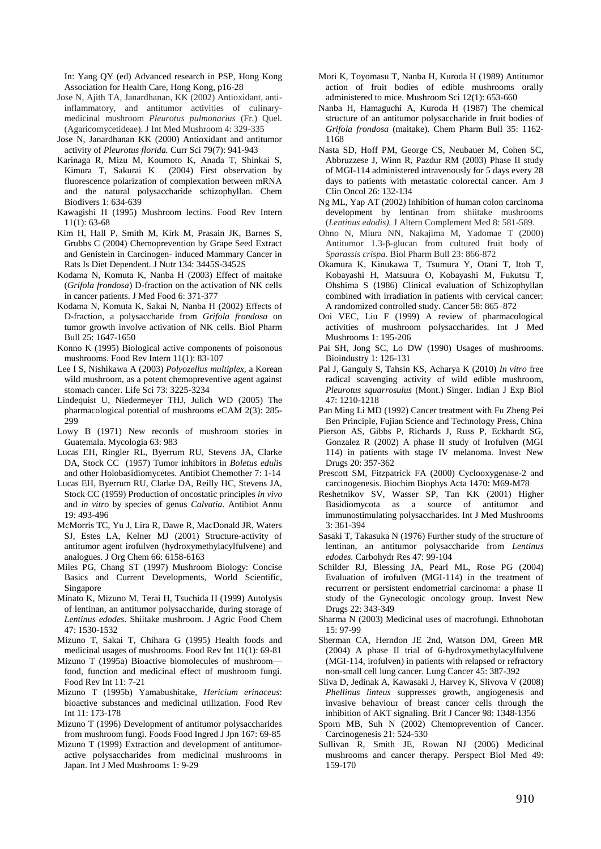In: Yang QY (ed) Advanced research in PSP, Hong Kong Association for Health Care, Hong Kong, p16-28

- Jose N, Ajith TA, Janardhanan, KK (2002) Antioxidant, antiinflammatory, and antitumor activities of culinarymedicinal mushroom *Pleurotus pulmonarius* (Fr.) Quel. (Agaricomycetideae). J Int Med Mushroom 4: 329-335
- Jose N, Janardhanan KK (2000) Antioxidant and antitumor activity of *Pleurotus florida.* Curr Sci 79(7): 941-943
- Karinaga R, Mizu M, Koumoto K, Anada T, Shinkai S, Kimura T, Sakurai K (2004) First observation by fluorescence polarization of complexation between mRNA and the natural polysaccharide schizophyllan. Chem Biodivers 1: 634-639
- Kawagishi H (1995) Mushroom lectins. Food Rev Intern 11(1): 63-68
- Kim H, Hall P, Smith M, Kirk M, Prasain JK, Barnes S, Grubbs C (2004) Chemoprevention by Grape Seed Extract and Genistein in Carcinogen- induced Mammary Cancer in Rats Is Diet Dependent. J Nutr 134: 3445S-3452S
- Kodama N, Komuta K, Nanba H (2003) Effect of maitake (*Grifola frondosa*) D-fraction on the activation of NK cells in cancer patients. J Med Food 6: 371-377
- Kodama N, Komuta K, Sakai N, Nanba H (2002) Effects of D-fraction, a polysaccharide from *Grifola frondosa* on tumor growth involve activation of NK cells. Biol Pharm Bull 25: 1647-1650
- Konno K (1995) Biological active components of poisonous mushrooms. Food Rev Intern 11(1): 83-107
- Lee I S, Nishikawa A (2003) *Polyozellus multiplex,* a Korean wild mushroom, as a potent chemopreventive agent against stomach cancer. Life Sci 73: 3225-3234
- Lindequist U, Niedermeyer THJ, Julich WD (2005) The pharmacological potential of mushrooms eCAM 2(3): 285- 299
- Lowy B (1971) New records of mushroom stories in Guatemala. Mycologia 63: 983
- Lucas EH, Ringler RL, Byerrum RU, Stevens JA, Clarke DA, Stock CC (1957) Tumor inhibitors in *Boletus edulis* and other Holobasidiomycetes. Antibiot Chemother 7: 1-14
- Lucas EH, Byerrum RU, Clarke DA, Reilly HC, Stevens JA, Stock CC (1959) Production of oncostatic principles *in vivo* and *in vitro* by species of genus *Calvatia*. Antibiot Annu 19: 493-496
- McMorris TC, Yu J, Lira R, Dawe R, MacDonald JR, Waters SJ, Estes LA, Kelner MJ (2001) Structure-activity of antitumor agent irofulven (hydroxymethylacylfulvene) and analogues. J Org Chem 66: 6158-6163
- Miles PG, Chang ST (1997) Mushroom Biology: Concise Basics and Current Developments, World Scientific, Singapore
- Minato K, Mizuno M, Terai H, Tsuchida H (1999) Autolysis of lentinan, an antitumor polysaccharide, during storage of *Lentinus edodes*. Shiitake mushroom. J Agric Food Chem 47: 1530-1532
- Mizuno T, Sakai T, Chihara G (1995) Health foods and medicinal usages of mushrooms. Food Rev Int 11(1): 69-81
- Mizuno T (1995a) Bioactive biomolecules of mushroom food, function and medicinal effect of mushroom fungi. Food Rev Int 11: 7-21
- Mizuno T (1995b) Yamabushitake, *Hericium erinaceus*: bioactive substances and medicinal utilization. Food Rev Int 11: 173-178
- Mizuno T (1996) Development of antitumor polysaccharides from mushroom fungi. Foods Food Ingred J Jpn 167: 69-85
- Mizuno T (1999) Extraction and development of antitumoractive polysaccharides from medicinal mushrooms in Japan. Int J Med Mushrooms 1: 9-29
- Mori K, Toyomasu T, Nanba H, Kuroda H (1989) Antitumor action of fruit bodies of edible mushrooms orally administered to mice. Mushroom Sci 12(1): 653-660
- Nanba H, Hamaguchi A, Kuroda H (1987) The chemical structure of an antitumor polysaccharide in fruit bodies of *Grifola frondosa* (maitake). Chem Pharm Bull 35: 1162- 1168
- Nasta SD, Hoff PM, George CS, Neubauer M, Cohen SC, Abbruzzese J, Winn R, Pazdur RM (2003) Phase II study of MGI-114 administered intravenously for 5 days every 28 days to patients with metastatic colorectal cancer. Am J Clin Oncol 26: 132-134
- Ng ML, Yap AT (2002) Inhibition of human colon carcinoma development by lentinan from shiitake mushrooms (*Lentinus edodis).* J Altern Complement Med 8: 581-589.
- Ohno N, Miura NN, Nakajima M, Yadomae T (2000) Antitumor 1.3-β-glucan from cultured fruit body of *Sparassis crispa.* Biol Pharm Bull 23: 866-872
- Okamura K, Kinukawa T, Tsumura Y, Otani T, Itoh T, Kobayashi H, Matsuura O, Kobayashi M, Fukutsu T, Ohshima S (1986) Clinical evaluation of Schizophyllan combined with irradiation in patients with cervical cancer: A randomized controlled study. Cancer 58: 865–872
- Ooi VEC, Liu F (1999) A review of pharmacological activities of mushroom polysaccharides. Int J Med Mushrooms 1: 195-206
- Pai SH, Jong SC, Lo DW (1990) Usages of mushrooms. Bioindustry 1: 126-131
- Pal J, Ganguly S, Tahsin KS, Acharya K (2010) *In vitro* free radical scavenging activity of wild edible mushroom, *Pleurotus squarrosulus* (Mont.) Singer. Indian J Exp Biol 47: 1210-1218
- Pan Ming Li MD (1992) Cancer treatment with Fu Zheng Pei Ben Principle, Fujian Science and Technology Press, China
- Pierson AS, Gibbs P, Richards J, Russ P, Eckhardt SG, Gonzalez R (2002) A phase II study of Irofulven (MGI 114) in patients with stage IV melanoma. Invest New Drugs 20: 357-362
- Prescott SM, Fitzpatrick FA (2000) Cyclooxygenase-2 and carcinogenesis. Biochim Biophys Acta 1470: M69-M78
- Reshetnikov SV, Wasser SP, Tan KK (2001) Higher Basidiomycota as a source of antitumor and immunostimulating polysaccharides. Int J Med Mushrooms 3: 361-394
- Sasaki T, Takasuka N (1976) Further study of the structure of lentinan, an antitumor polysaccharide from *Lentinus edodes.* Carbohydr Res 47: 99-104
- Schilder RJ, Blessing JA, Pearl ML, Rose PG (2004) Evaluation of irofulven (MGI-114) in the treatment of recurrent or persistent endometrial carcinoma: a phase II study of the Gynecologic oncology group. Invest New Drugs 22: 343-349
- Sharma N (2003) Medicinal uses of macrofungi. Ethnobotan 15: 97-99
- Sherman CA, Herndon JE 2nd, Watson DM, Green MR (2004) A phase II trial of 6-hydroxymethylacylfulvene (MGI-114, irofulven) in patients with relapsed or refractory non-small cell lung cancer. Lung Cancer 45: 387-392
- Sliva D, Jedinak A, Kawasaki J, Harvey K, Slivova V (2008) *Phellinus linteus* suppresses growth, angiogenesis and invasive behaviour of breast cancer cells through the inhibition of AKT signaling. Brit J Cancer 98: 1348-1356
- Sporn MB, Suh N (2002) Chemoprevention of Cancer. Carcinogenesis 21: 524-530
- Sullivan R, Smith JE, Rowan NJ (2006) Medicinal mushrooms and cancer therapy. Perspect Biol Med 49: 159-170